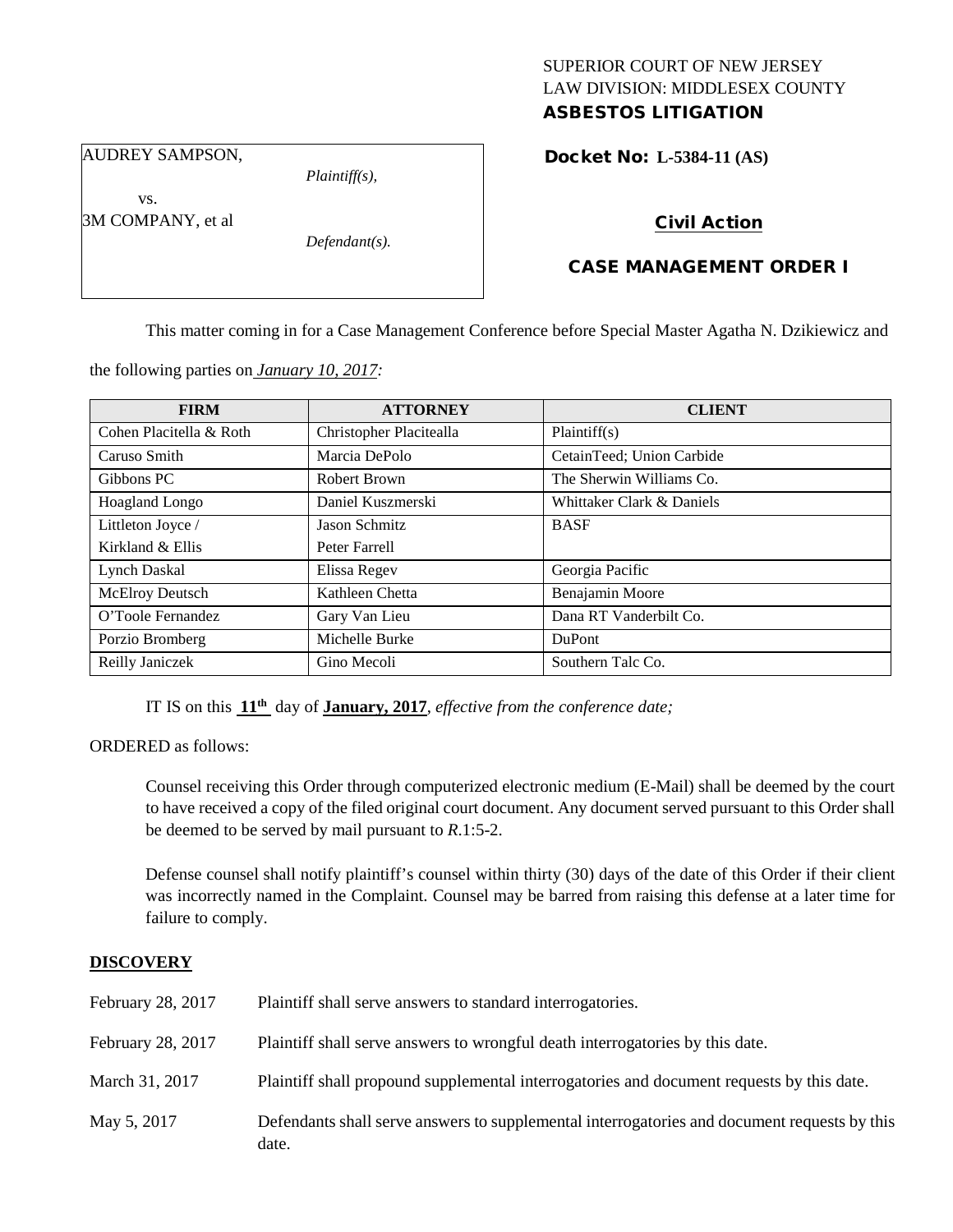## SUPERIOR COURT OF NEW JERSEY LAW DIVISION: MIDDLESEX COUNTY

### ASBESTOS LITIGATION

AUDREY SAMPSON,

vs.

*Plaintiff(s),*

3M COMPANY, et al

*Defendant(s).*

# Docket No: **L-5384-11 (AS)**

#### Civil Action

#### CASE MANAGEMENT ORDER I

This matter coming in for a Case Management Conference before Special Master Agatha N. Dzikiewicz and

the following parties on *January 10, 2017:*

| <b>FIRM</b>             | <b>ATTORNEY</b>         | <b>CLIENT</b>             |
|-------------------------|-------------------------|---------------------------|
| Cohen Placitella & Roth | Christopher Placitealla | Plaintiff(s)              |
| Caruso Smith            | Marcia DePolo           | CetainTeed; Union Carbide |
| Gibbons PC              | Robert Brown            | The Sherwin Williams Co.  |
| <b>Hoagland Longo</b>   | Daniel Kuszmerski       | Whittaker Clark & Daniels |
| Littleton Joyce /       | <b>Jason Schmitz</b>    | <b>BASF</b>               |
| Kirkland & Ellis        | Peter Farrell           |                           |
| Lynch Daskal            | Elissa Regev            | Georgia Pacific           |
| McElroy Deutsch         | Kathleen Chetta         | Benajamin Moore           |
| O'Toole Fernandez       | Gary Van Lieu           | Dana RT Vanderbilt Co.    |
| Porzio Bromberg         | Michelle Burke          | <b>DuPont</b>             |
| Reilly Janiczek         | Gino Mecoli             | Southern Talc Co.         |

IT IS on this **11th** day of **January, 2017**, *effective from the conference date;*

ORDERED as follows:

Counsel receiving this Order through computerized electronic medium (E-Mail) shall be deemed by the court to have received a copy of the filed original court document. Any document served pursuant to this Order shall be deemed to be served by mail pursuant to *R*.1:5-2.

Defense counsel shall notify plaintiff's counsel within thirty (30) days of the date of this Order if their client was incorrectly named in the Complaint. Counsel may be barred from raising this defense at a later time for failure to comply.

#### **DISCOVERY**

| February 28, 2017 | Plaintiff shall serve answers to standard interrogatories.                                            |
|-------------------|-------------------------------------------------------------------------------------------------------|
| February 28, 2017 | Plaintiff shall serve answers to wrongful death interrogatories by this date.                         |
| March 31, 2017    | Plaintiff shall propound supplemental interrogatories and document requests by this date.             |
| May 5, 2017       | Defendants shall serve answers to supplemental interrogatories and document requests by this<br>date. |